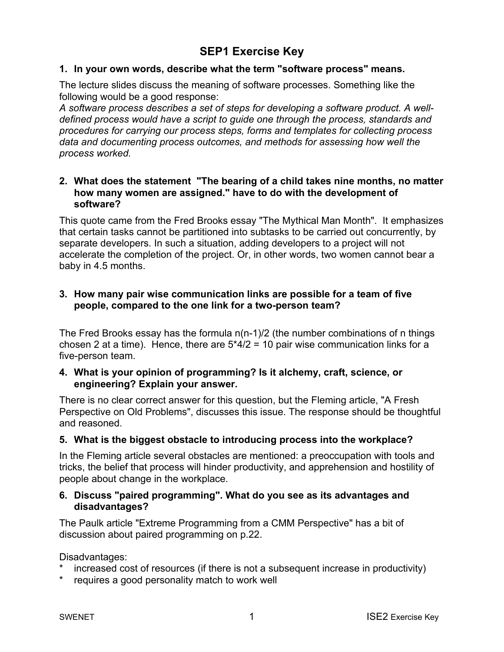# **SEP1 Exercise Key**

#### **1. In your own words, describe what the term "software process" means.**

The lecture slides discuss the meaning of software processes. Something like the following would be a good response:

*A software process describes a set of steps for developing a software product. A welldefined process would have a script to guide one through the process, standards and procedures for carrying our process steps, forms and templates for collecting process data and documenting process outcomes, and methods for assessing how well the process worked.* 

### **2. What does the statement "The bearing of a child takes nine months, no matter how many women are assigned." have to do with the development of software?**

This quote came from the Fred Brooks essay "The Mythical Man Month". It emphasizes that certain tasks cannot be partitioned into subtasks to be carried out concurrently, by separate developers. In such a situation, adding developers to a project will not accelerate the completion of the project. Or, in other words, two women cannot bear a baby in 4.5 months.

## **3. How many pair wise communication links are possible for a team of five people, compared to the one link for a two-person team?**

The Fred Brooks essay has the formula n(n-1)/2 (the number combinations of n things chosen 2 at a time). Hence, there are  $5*4/2 = 10$  pair wise communication links for a five-person team.

### **4. What is your opinion of programming? Is it alchemy, craft, science, or engineering? Explain your answer.**

There is no clear correct answer for this question, but the Fleming article, "A Fresh Perspective on Old Problems", discusses this issue. The response should be thoughtful and reasoned.

### **5. What is the biggest obstacle to introducing process into the workplace?**

In the Fleming article several obstacles are mentioned: a preoccupation with tools and tricks, the belief that process will hinder productivity, and apprehension and hostility of people about change in the workplace.

## **6. Discuss "paired programming". What do you see as its advantages and disadvantages?**

The Paulk article "Extreme Programming from a CMM Perspective" has a bit of discussion about paired programming on p.22.

Disadvantages:

- increased cost of resources (if there is not a subsequent increase in productivity)
- requires a good personality match to work well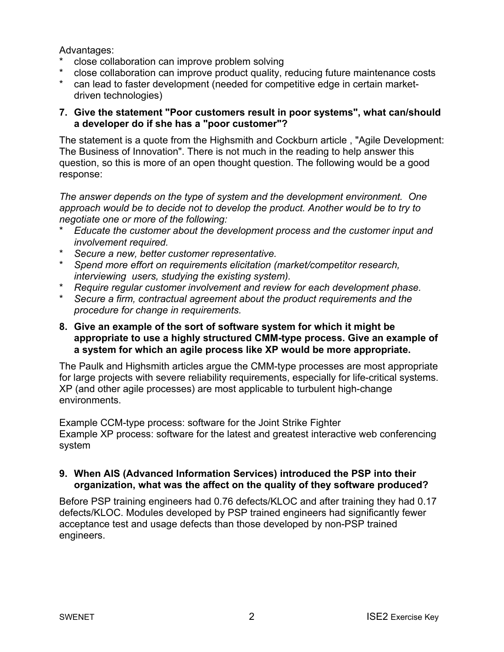Advantages:

- close collaboration can improve problem solving
- \* close collaboration can improve product quality, reducing future maintenance costs
- can lead to faster development (needed for competitive edge in certain marketdriven technologies)

# **7. Give the statement "Poor customers result in poor systems", what can/should a developer do if she has a "poor customer"?**

The statement is a quote from the Highsmith and Cockburn article , "Agile Development: The Business of Innovation". There is not much in the reading to help answer this question, so this is more of an open thought question. The following would be a good response:

*The answer depends on the type of system and the development environment. One*  approach would be to decide not to develop the product. Another would be to try to *negotiate one or more of the following:* 

- \* *Educate the customer about the development process and the customer input and involvement required.*
- \* *Secure a new, better customer representative.*
- \* *Spend more effort on requirements elicitation (market/competitor research, interviewing users, studying the existing system).*
- \* *Require regular customer involvement and review for each development phase.*
- \* *Secure a firm, contractual agreement about the product requirements and the procedure for change in requirements.*

# **8. Give an example of the sort of software system for which it might be appropriate to use a highly structured CMM-type process. Give an example of a system for which an agile process like XP would be more appropriate.**

The Paulk and Highsmith articles argue the CMM-type processes are most appropriate for large projects with severe reliability requirements, especially for life-critical systems. XP (and other agile processes) are most applicable to turbulent high-change environments.

Example CCM-type process: software for the Joint Strike Fighter Example XP process: software for the latest and greatest interactive web conferencing system

# **9. When AIS (Advanced Information Services) introduced the PSP into their organization, what was the affect on the quality of they software produced?**

Before PSP training engineers had 0.76 defects/KLOC and after training they had 0.17 defects/KLOC. Modules developed by PSP trained engineers had significantly fewer acceptance test and usage defects than those developed by non-PSP trained engineers.